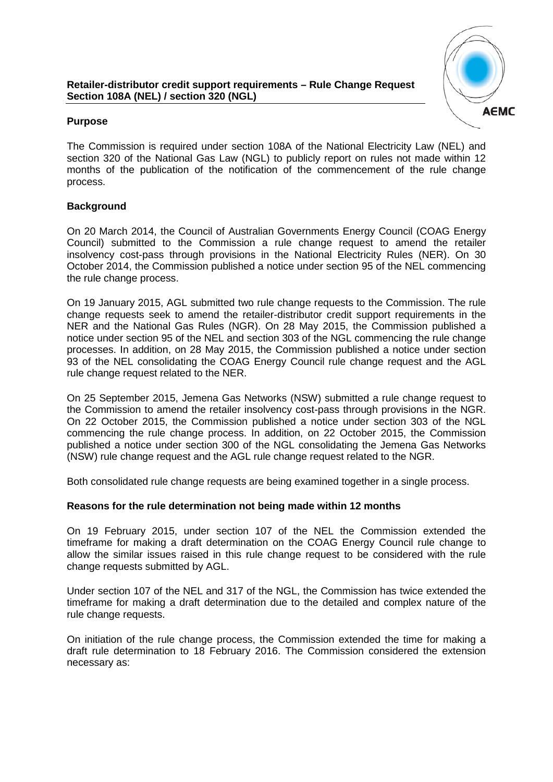#### **Retailer-distributor credit support requirements – Rule Change Request Section 108A (NEL) / section 320 (NGL)**



# **Purpose**

The Commission is required under section 108A of the National Electricity Law (NEL) and section 320 of the National Gas Law (NGL) to publicly report on rules not made within 12 months of the publication of the notification of the commencement of the rule change process.

## **Background**

On 20 March 2014, the Council of Australian Governments Energy Council (COAG Energy Council) submitted to the Commission a rule change request to amend the retailer insolvency cost-pass through provisions in the National Electricity Rules (NER). On 30 October 2014, the Commission published a notice under section 95 of the NEL commencing the rule change process.

On 19 January 2015, AGL submitted two rule change requests to the Commission. The rule change requests seek to amend the retailer-distributor credit support requirements in the NER and the National Gas Rules (NGR). On 28 May 2015, the Commission published a notice under section 95 of the NEL and section 303 of the NGL commencing the rule change processes. In addition, on 28 May 2015, the Commission published a notice under section 93 of the NEL consolidating the COAG Energy Council rule change request and the AGL rule change request related to the NER.

On 25 September 2015, Jemena Gas Networks (NSW) submitted a rule change request to the Commission to amend the retailer insolvency cost-pass through provisions in the NGR. On 22 October 2015, the Commission published a notice under section 303 of the NGL commencing the rule change process. In addition, on 22 October 2015, the Commission published a notice under section 300 of the NGL consolidating the Jemena Gas Networks (NSW) rule change request and the AGL rule change request related to the NGR.

Both consolidated rule change requests are being examined together in a single process.

### **Reasons for the rule determination not being made within 12 months**

On 19 February 2015, under section 107 of the NEL the Commission extended the timeframe for making a draft determination on the COAG Energy Council rule change to allow the similar issues raised in this rule change request to be considered with the rule change requests submitted by AGL.

Under section 107 of the NEL and 317 of the NGL, the Commission has twice extended the timeframe for making a draft determination due to the detailed and complex nature of the rule change requests.

On initiation of the rule change process, the Commission extended the time for making a draft rule determination to 18 February 2016. The Commission considered the extension necessary as: